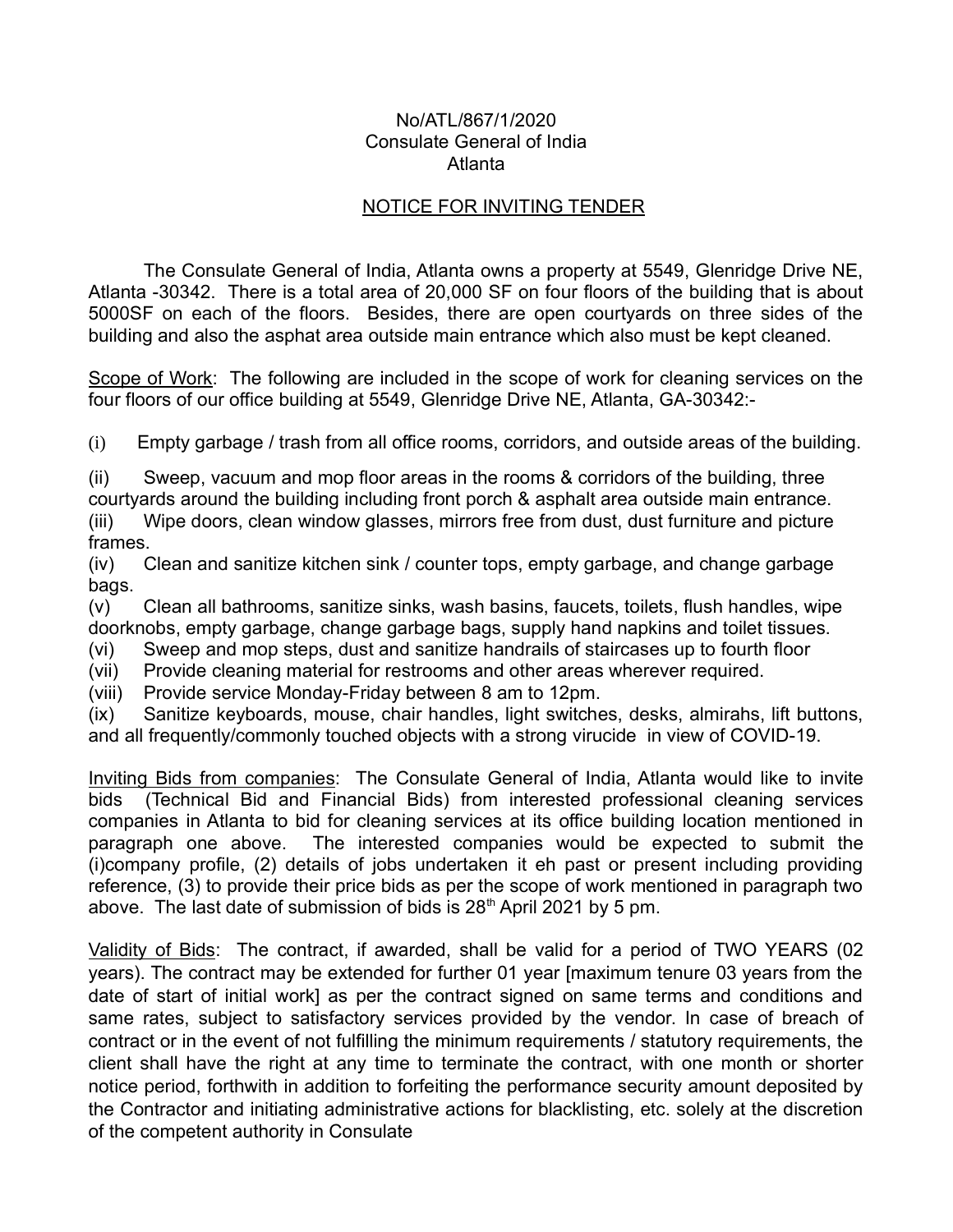## No/ATL/867/1/2020 Consulate General of India Atlanta

## NOTICE FOR INVITING TENDER

The Consulate General of India, Atlanta owns a property at 5549, Glenridge Drive NE, Atlanta -30342. There is a total area of 20,000 SF on four floors of the building that is about 5000SF on each of the floors. Besides, there are open courtyards on three sides of the building and also the asphat area outside main entrance which also must be kept cleaned.

Scope of Work: The following are included in the scope of work for cleaning services on the four floors of our office building at 5549, Glenridge Drive NE, Atlanta, GA-30342:-

(i) Empty garbage / trash from all office rooms, corridors, and outside areas of the building.

(ii) Sweep, vacuum and mop floor areas in the rooms & corridors of the building, three courtyards around the building including front porch & asphalt area outside main entrance. (iii) Wipe doors, clean window glasses, mirrors free from dust, dust furniture and picture frames.

(iv) Clean and sanitize kitchen sink / counter tops, empty garbage, and change garbage bags.

(v) Clean all bathrooms, sanitize sinks, wash basins, faucets, toilets, flush handles, wipe doorknobs, empty garbage, change garbage bags, supply hand napkins and toilet tissues.

(vi) Sweep and mop steps, dust and sanitize handrails of staircases up to fourth floor

(vii) Provide cleaning material for restrooms and other areas wherever required.

(viii) Provide service Monday-Friday between 8 am to 12pm.

(ix) Sanitize keyboards, mouse, chair handles, light switches, desks, almirahs, lift buttons, and all frequently/commonly touched objects with a strong virucide in view of COVID-19.

Inviting Bids from companies: The Consulate General of India, Atlanta would like to invite bids (Technical Bid and Financial Bids) from interested professional cleaning services companies in Atlanta to bid for cleaning services at its office building location mentioned in paragraph one above. The interested companies would be expected to submit the (i)company profile, (2) details of jobs undertaken it eh past or present including providing reference, (3) to provide their price bids as per the scope of work mentioned in paragraph two above. The last date of submission of bids is  $28<sup>th</sup>$  April 2021 by 5 pm.

Validity of Bids: The contract, if awarded, shall be valid for a period of TWO YEARS (02 years). The contract may be extended for further 01 year [maximum tenure 03 years from the date of start of initial work] as per the contract signed on same terms and conditions and same rates, subject to satisfactory services provided by the vendor. In case of breach of contract or in the event of not fulfilling the minimum requirements / statutory requirements, the client shall have the right at any time to terminate the contract, with one month or shorter notice period, forthwith in addition to forfeiting the performance security amount deposited by the Contractor and initiating administrative actions for blacklisting, etc. solely at the discretion of the competent authority in Consulate